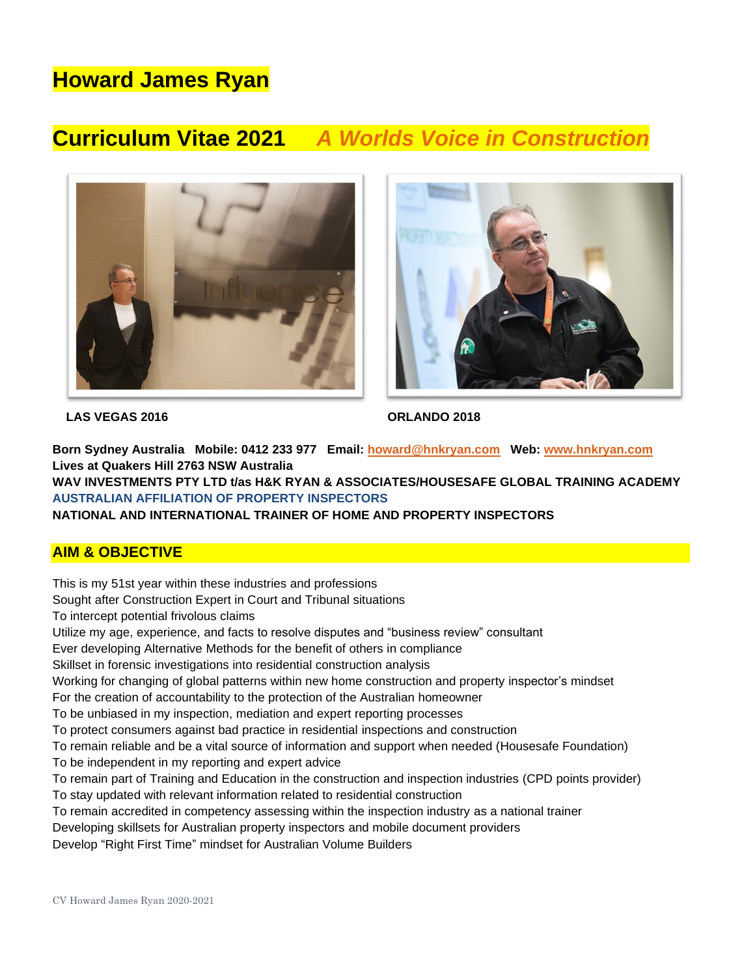# **Howard James Ryan**

## **Curriculum Vitae 2021** *A Worlds Voice in Construction*





 **LAS VEGAS 2016 ORLANDO 2018** 

**Born Sydney Australia Mobile: 0412 233 977 Email: [howard@hnkryan.com](mailto:howard@hnkryan.com) Web: [www.hnkryan.com](http://www.hnkryan.com/) Lives at Quakers Hill 2763 NSW Australia**

**WAV INVESTMENTS PTY LTD t/as H&K RYAN & ASSOCIATES/HOUSESAFE GLOBAL TRAINING ACADEMY AUSTRALIAN AFFILIATION OF PROPERTY INSPECTORS** 

**NATIONAL AND INTERNATIONAL TRAINER OF HOME AND PROPERTY INSPECTORS**

#### **AIM & OBJECTIVE**

This is my 51st year within these industries and professions

Sought after Construction Expert in Court and Tribunal situations

To intercept potential frivolous claims

Utilize my age, experience, and facts to resolve disputes and "business review" consultant

Ever developing Alternative Methods for the benefit of others in compliance

Skillset in forensic investigations into residential construction analysis

Working for changing of global patterns within new home construction and property inspector's mindset

For the creation of accountability to the protection of the Australian homeowner

To be unbiased in my inspection, mediation and expert reporting processes

To protect consumers against bad practice in residential inspections and construction

To remain reliable and be a vital source of information and support when needed (Housesafe Foundation)

To be independent in my reporting and expert advice

To remain part of Training and Education in the construction and inspection industries (CPD points provider)

- To stay updated with relevant information related to residential construction
- To remain accredited in competency assessing within the inspection industry as a national trainer
- Developing skillsets for Australian property inspectors and mobile document providers

Develop "Right First Time" mindset for Australian Volume Builders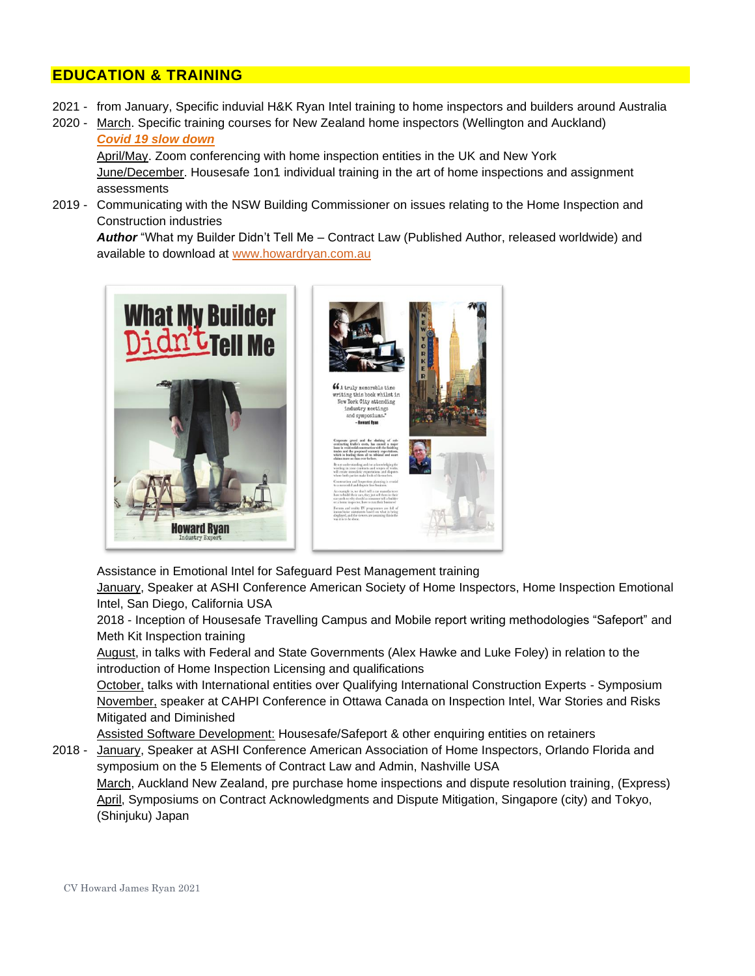#### **EDUCATION & TRAINING**

- 2021 from January, Specific induvial H&K Ryan Intel training to home inspectors and builders around Australia
- 2020 March. Specific training courses for New Zealand home inspectors (Wellington and Auckland) *Covid 19 slow down*

April/May. Zoom conferencing with home inspection entities in the UK and New York June/December. Housesafe 1on1 individual training in the art of home inspections and assignment assessments

2019 - Communicating with the NSW Building Commissioner on issues relating to the Home Inspection and Construction industries

*Author* "What my Builder Didn't Tell Me – Contract Law (Published Author, released worldwide) and available to download at [www.howardryan.com.au](http://www.howardryan.com.au/)



Assistance in Emotional Intel for Safeguard Pest Management training

January, Speaker at ASHI Conference American Society of Home Inspectors, Home Inspection Emotional Intel, San Diego, California USA

2018 - Inception of Housesafe Travelling Campus and Mobile report writing methodologies "Safeport" and Meth Kit Inspection training

August, in talks with Federal and State Governments (Alex Hawke and Luke Foley) in relation to the introduction of Home Inspection Licensing and qualifications

October, talks with International entities over Qualifying International Construction Experts - Symposium November, speaker at CAHPI Conference in Ottawa Canada on Inspection Intel, War Stories and Risks Mitigated and Diminished

Assisted Software Development: Housesafe/Safeport & other enquiring entities on retainers

2018 - January, Speaker at ASHI Conference American Association of Home Inspectors, Orlando Florida and symposium on the 5 Elements of Contract Law and Admin, Nashville USA

March, Auckland New Zealand, pre purchase home inspections and dispute resolution training, (Express) April, Symposiums on Contract Acknowledgments and Dispute Mitigation, Singapore (city) and Tokyo, (Shinjuku) Japan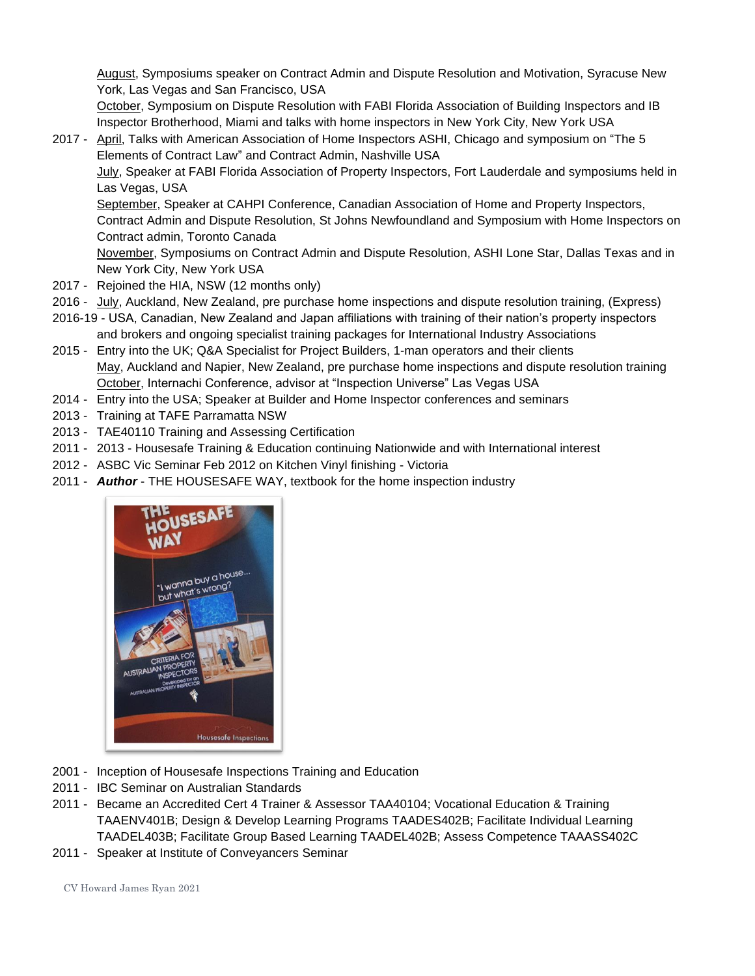August, Symposiums speaker on Contract Admin and Dispute Resolution and Motivation, Syracuse New York, Las Vegas and San Francisco, USA

October, Symposium on Dispute Resolution with FABI Florida Association of Building Inspectors and IB Inspector Brotherhood, Miami and talks with home inspectors in New York City, New York USA

2017 - April, Talks with American Association of Home Inspectors ASHI, Chicago and symposium on "The 5 Elements of Contract Law" and Contract Admin, Nashville USA

July, Speaker at FABI Florida Association of Property Inspectors, Fort Lauderdale and symposiums held in Las Vegas, USA

September, Speaker at CAHPI Conference, Canadian Association of Home and Property Inspectors, Contract Admin and Dispute Resolution, St Johns Newfoundland and Symposium with Home Inspectors on Contract admin, Toronto Canada

November, Symposiums on Contract Admin and Dispute Resolution, ASHI Lone Star, Dallas Texas and in New York City, New York USA

- 2017 Rejoined the HIA, NSW (12 months only)
- 2016 July, Auckland, New Zealand, pre purchase home inspections and dispute resolution training, (Express)
- 2016-19 USA, Canadian, New Zealand and Japan affiliations with training of their nation's property inspectors and brokers and ongoing specialist training packages for International Industry Associations
- 2015 Entry into the UK; Q&A Specialist for Project Builders, 1-man operators and their clients May, Auckland and Napier, New Zealand, pre purchase home inspections and dispute resolution training October, Internachi Conference, advisor at "Inspection Universe" Las Vegas USA
- 2014 Entry into the USA; Speaker at Builder and Home Inspector conferences and seminars
- 2013 Training at TAFE Parramatta NSW
- 2013 TAE40110 Training and Assessing Certification
- 2011 2013 Housesafe Training & Education continuing Nationwide and with International interest
- 2012 ASBC Vic Seminar Feb 2012 on Kitchen Vinyl finishing Victoria
- 2011 *Author* THE HOUSESAFE WAY, textbook for the home inspection industry



- 2001 Inception of Housesafe Inspections Training and Education
- 2011 IBC Seminar on Australian Standards
- 2011 Became an Accredited Cert 4 Trainer & Assessor TAA40104; Vocational Education & Training TAAENV401B; Design & Develop Learning Programs TAADES402B; Facilitate Individual Learning TAADEL403B; Facilitate Group Based Learning TAADEL402B; Assess Competence TAAASS402C
- 2011 Speaker at Institute of Conveyancers Seminar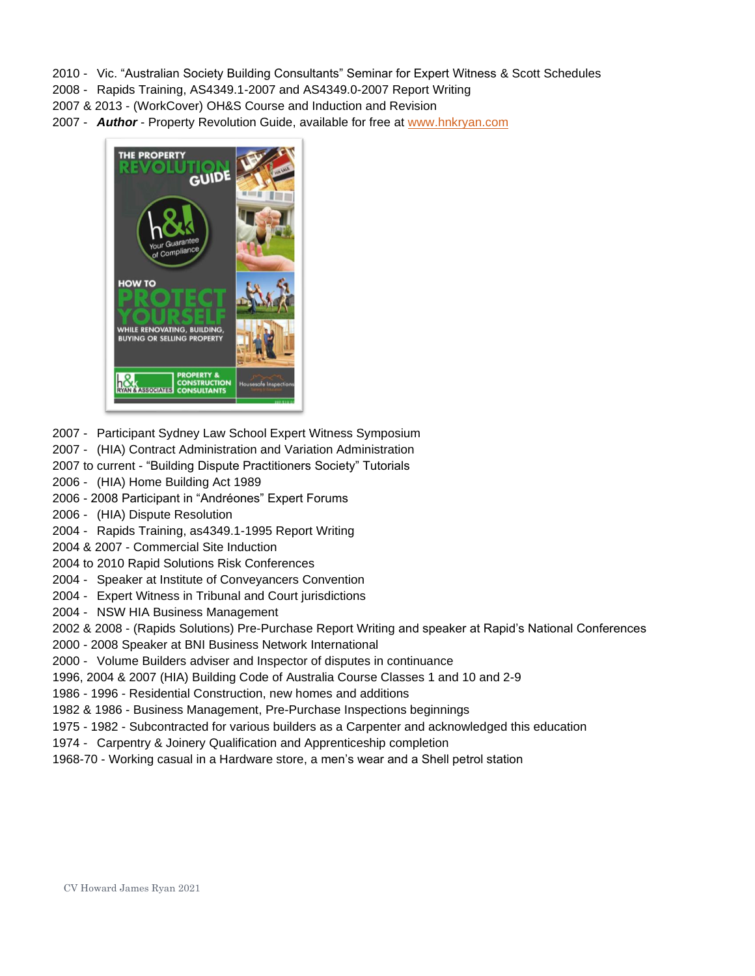- 2010 Vic. "Australian Society Building Consultants" Seminar for Expert Witness & Scott Schedules
- 2008 Rapids Training, AS4349.1-2007 and AS4349.0-2007 Report Writing
- 2007 & 2013 (WorkCover) OH&S Course and Induction and Revision
- 2007 *Author* Property Revolution Guide, available for free at [www.hnkryan.com](http://www.hnkryan.com/)



- 2007 Participant Sydney Law School Expert Witness Symposium
- 2007 (HIA) Contract Administration and Variation Administration
- 2007 to current "Building Dispute Practitioners Society" Tutorials
- 2006 (HIA) Home Building Act 1989
- 2006 2008 Participant in "Andréones" Expert Forums
- 2006 (HIA) Dispute Resolution
- 2004 Rapids Training, as4349.1-1995 Report Writing
- 2004 & 2007 Commercial Site Induction
- 2004 to 2010 Rapid Solutions Risk Conferences
- 2004 Speaker at Institute of Conveyancers Convention
- 2004 Expert Witness in Tribunal and Court jurisdictions
- 2004 NSW HIA Business Management
- 2002 & 2008 (Rapids Solutions) Pre-Purchase Report Writing and speaker at Rapid's National Conferences
- 2000 2008 Speaker at BNI Business Network International
- 2000 Volume Builders adviser and Inspector of disputes in continuance
- 1996, 2004 & 2007 (HIA) Building Code of Australia Course Classes 1 and 10 and 2-9
- 1986 1996 Residential Construction, new homes and additions
- 1982 & 1986 Business Management, Pre-Purchase Inspections beginnings
- 1975 1982 Subcontracted for various builders as a Carpenter and acknowledged this education
- 1974 Carpentry & Joinery Qualification and Apprenticeship completion
- 1968-70 Working casual in a Hardware store, a men's wear and a Shell petrol station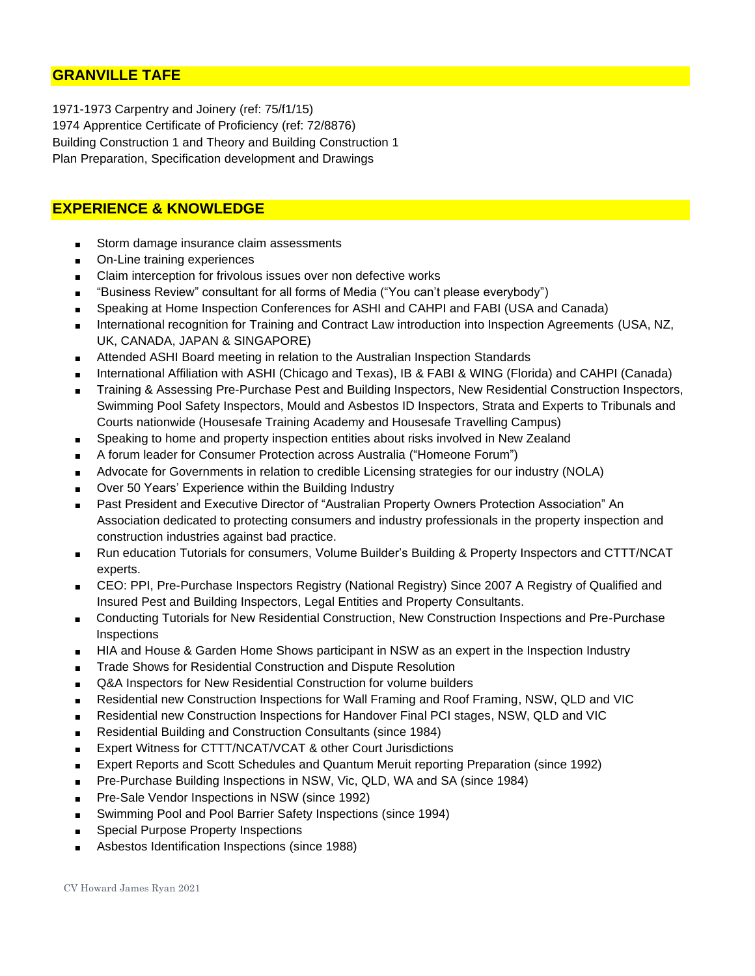### **GRANVILLE TAFE**

1971-1973 Carpentry and Joinery (ref: 75/f1/15) 1974 Apprentice Certificate of Proficiency (ref: 72/8876) Building Construction 1 and Theory and Building Construction 1 Plan Preparation, Specification development and Drawings

### **EXPERIENCE & KNOWLEDGE**

- Storm damage insurance claim assessments
- On-Line training experiences
- Claim interception for frivolous issues over non defective works
- "Business Review" consultant for all forms of Media ("You can't please everybody")
- Speaking at Home Inspection Conferences for ASHI and CAHPI and FABI (USA and Canada)
- International recognition for Training and Contract Law introduction into Inspection Agreements (USA, NZ, UK, CANADA, JAPAN & SINGAPORE)
- Attended ASHI Board meeting in relation to the Australian Inspection Standards
- International Affiliation with ASHI (Chicago and Texas), IB & FABI & WING (Florida) and CAHPI (Canada)
- Training & Assessing Pre-Purchase Pest and Building Inspectors, New Residential Construction Inspectors, Swimming Pool Safety Inspectors, Mould and Asbestos ID Inspectors, Strata and Experts to Tribunals and Courts nationwide (Housesafe Training Academy and Housesafe Travelling Campus)
- Speaking to home and property inspection entities about risks involved in New Zealand
- A forum leader for Consumer Protection across Australia ("Homeone Forum")
- Advocate for Governments in relation to credible Licensing strategies for our industry (NOLA)
- Over 50 Years' Experience within the Building Industry
- Past President and Executive Director of "Australian Property Owners Protection Association" An Association dedicated to protecting consumers and industry professionals in the property inspection and construction industries against bad practice.
- Run education Tutorials for consumers, Volume Builder's Building & Property Inspectors and CTTT/NCAT experts.
- CEO: PPI, Pre-Purchase Inspectors Registry (National Registry) Since 2007 A Registry of Qualified and Insured Pest and Building Inspectors, Legal Entities and Property Consultants.
- Conducting Tutorials for New Residential Construction, New Construction Inspections and Pre-Purchase **Inspections**
- HIA and House & Garden Home Shows participant in NSW as an expert in the Inspection Industry
- Trade Shows for Residential Construction and Dispute Resolution
- Q&A Inspectors for New Residential Construction for volume builders
- Residential new Construction Inspections for Wall Framing and Roof Framing, NSW, QLD and VIC
- Residential new Construction Inspections for Handover Final PCI stages, NSW, QLD and VIC
- Residential Building and Construction Consultants (since 1984)
- Expert Witness for CTTT/NCAT/VCAT & other Court Jurisdictions
- Expert Reports and Scott Schedules and Quantum Meruit reporting Preparation (since 1992)
- Pre-Purchase Building Inspections in NSW, Vic, QLD, WA and SA (since 1984)
- Pre-Sale Vendor Inspections in NSW (since 1992)
- Swimming Pool and Pool Barrier Safety Inspections (since 1994)
- Special Purpose Property Inspections
- Asbestos Identification Inspections (since 1988)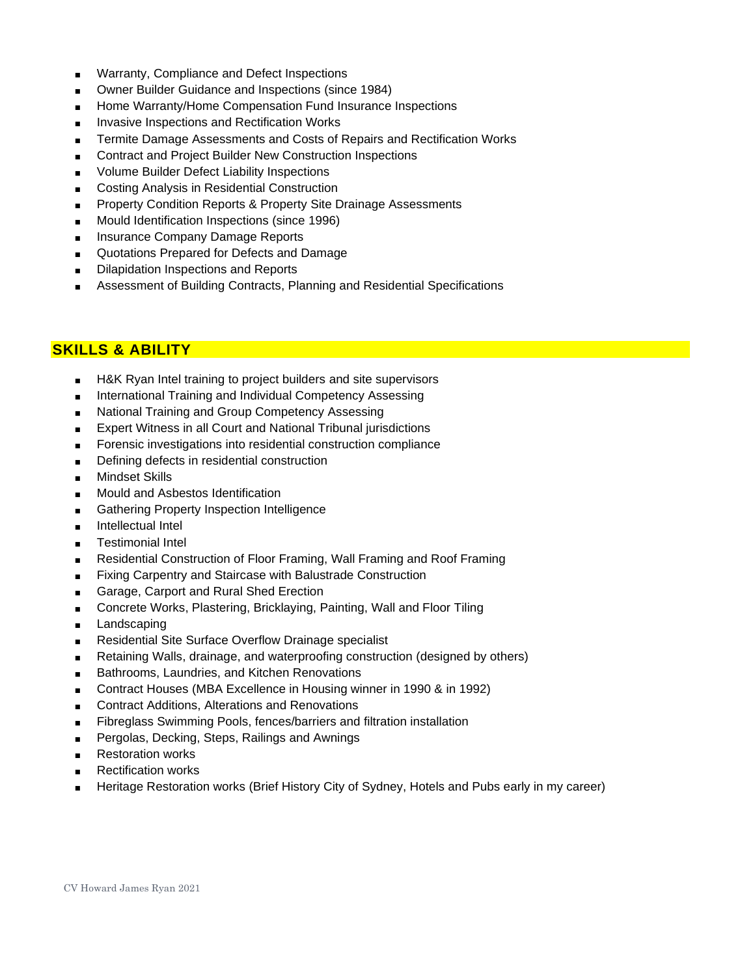- Warranty, Compliance and Defect Inspections
- Owner Builder Guidance and Inspections (since 1984)
- Home Warranty/Home Compensation Fund Insurance Inspections
- Invasive Inspections and Rectification Works
- Termite Damage Assessments and Costs of Repairs and Rectification Works
- Contract and Project Builder New Construction Inspections
- Volume Builder Defect Liability Inspections
- Costing Analysis in Residential Construction
- Property Condition Reports & Property Site Drainage Assessments
- Mould Identification Inspections (since 1996)
- Insurance Company Damage Reports
- Quotations Prepared for Defects and Damage
- Dilapidation Inspections and Reports
- Assessment of Building Contracts, Planning and Residential Specifications

#### **SKILLS & ABILITY**

- H&K Ryan Intel training to project builders and site supervisors
- International Training and Individual Competency Assessing
- National Training and Group Competency Assessing
- Expert Witness in all Court and National Tribunal jurisdictions
- Forensic investigations into residential construction compliance
- Defining defects in residential construction
- Mindset Skills
- Mould and Asbestos Identification
- Gathering Property Inspection Intelligence
- Intellectual Intel
- Testimonial Intel
- Residential Construction of Floor Framing, Wall Framing and Roof Framing
- Fixing Carpentry and Staircase with Balustrade Construction
- Garage, Carport and Rural Shed Erection
- Concrete Works, Plastering, Bricklaying, Painting, Wall and Floor Tiling
- Landscaping
- Residential Site Surface Overflow Drainage specialist
- Retaining Walls, drainage, and waterproofing construction (designed by others)
- Bathrooms, Laundries, and Kitchen Renovations
- Contract Houses (MBA Excellence in Housing winner in 1990 & in 1992)
- Contract Additions, Alterations and Renovations
- Fibreglass Swimming Pools, fences/barriers and filtration installation
- Pergolas, Decking, Steps, Railings and Awnings
- Restoration works
- Rectification works
- Heritage Restoration works (Brief History City of Sydney, Hotels and Pubs early in my career)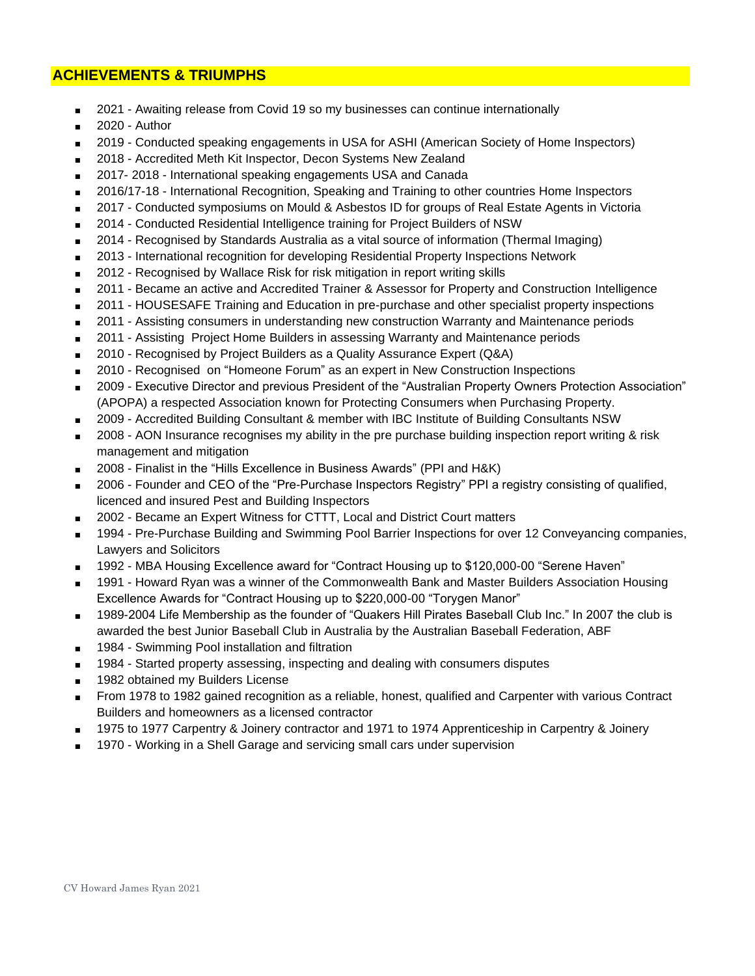#### **ACHIEVEMENTS & TRIUMPHS**

- 2021 Awaiting release from Covid 19 so my businesses can continue internationally
- 2020 Author
- 2019 Conducted speaking engagements in USA for ASHI (American Society of Home Inspectors)
- 2018 Accredited Meth Kit Inspector, Decon Systems New Zealand
- 2017-2018 International speaking engagements USA and Canada
- 2016/17-18 International Recognition, Speaking and Training to other countries Home Inspectors
- 2017 Conducted symposiums on Mould & Asbestos ID for groups of Real Estate Agents in Victoria
- 2014 Conducted Residential Intelligence training for Project Builders of NSW
- 2014 Recognised by Standards Australia as a vital source of information (Thermal Imaging)
- 2013 International recognition for developing Residential Property Inspections Network
- 2012 Recognised by Wallace Risk for risk mitigation in report writing skills
- 2011 Became an active and Accredited Trainer & Assessor for Property and Construction Intelligence
- 2011 HOUSESAFE Training and Education in pre-purchase and other specialist property inspections
- 2011 Assisting consumers in understanding new construction Warranty and Maintenance periods
- 2011 Assisting Project Home Builders in assessing Warranty and Maintenance periods
- 2010 Recognised by Project Builders as a Quality Assurance Expert (Q&A)
- 2010 Recognised on "Homeone Forum" as an expert in New Construction Inspections
- 2009 Executive Director and previous President of the "Australian Property Owners Protection Association" (APOPA) a respected Association known for Protecting Consumers when Purchasing Property.
- 2009 Accredited Building Consultant & member with IBC Institute of Building Consultants NSW
- 2008 AON Insurance recognises my ability in the pre purchase building inspection report writing & risk management and mitigation
- 2008 Finalist in the "Hills Excellence in Business Awards" (PPI and H&K)
- 2006 Founder and CEO of the "Pre-Purchase Inspectors Registry" PPI a registry consisting of qualified, licenced and insured Pest and Building Inspectors
- 2002 Became an Expert Witness for CTTT, Local and District Court matters
- 1994 Pre-Purchase Building and Swimming Pool Barrier Inspections for over 12 Conveyancing companies, Lawyers and Solicitors
- 1992 MBA Housing Excellence award for "Contract Housing up to \$120,000-00 "Serene Haven"
- 1991 Howard Ryan was a winner of the Commonwealth Bank and Master Builders Association Housing Excellence Awards for "Contract Housing up to \$220,000-00 "Torygen Manor"
- 1989-2004 Life Membership as the founder of "Quakers Hill Pirates Baseball Club Inc." In 2007 the club is awarded the best Junior Baseball Club in Australia by the Australian Baseball Federation, ABF
- 1984 Swimming Pool installation and filtration
- 1984 Started property assessing, inspecting and dealing with consumers disputes
- 1982 obtained my Builders License
- From 1978 to 1982 gained recognition as a reliable, honest, qualified and Carpenter with various Contract Builders and homeowners as a licensed contractor
- 1975 to 1977 Carpentry & Joinery contractor and 1971 to 1974 Apprenticeship in Carpentry & Joinery
- 1970 Working in a Shell Garage and servicing small cars under supervision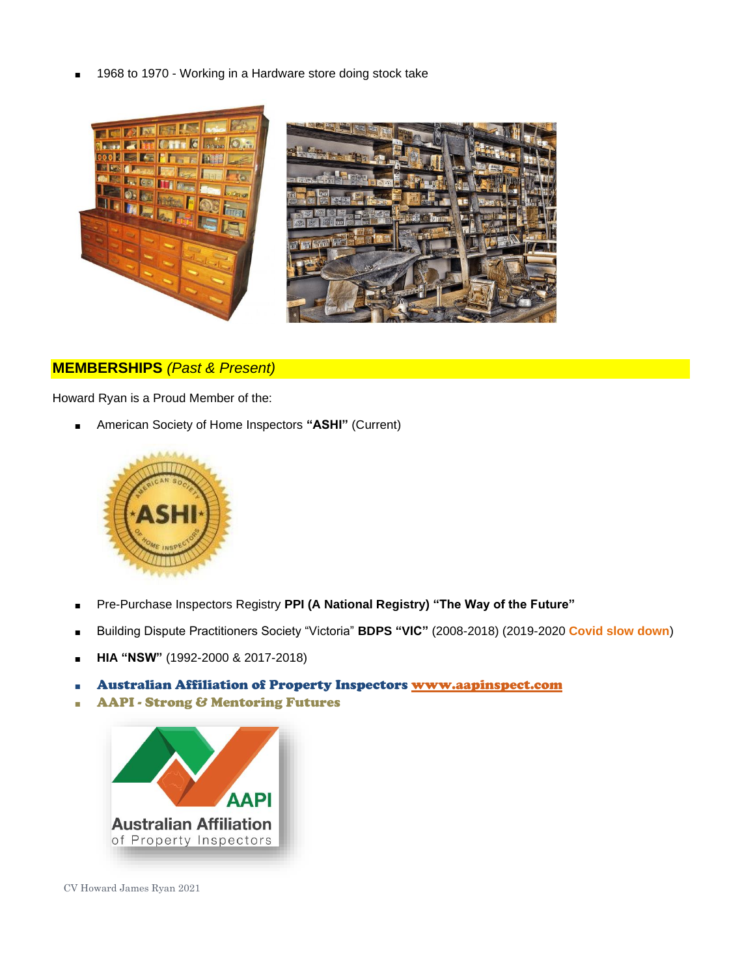1968 to 1970 - Working in a Hardware store doing stock take



#### **MEMBERSHIPS** *(Past & Present)*

Howard Ryan is a Proud Member of the:

■ American Society of Home Inspectors "ASHI" (Current)



- Pre-Purchase Inspectors Registry **PPI (A National Registry) "The Way of the Future"**
- Building Dispute Practitioners Society "Victoria" **BDPS "VIC"** (2008-2018) (2019-2020 **Covid slow down**)
- **HIA "NSW"** (1992-2000 & 2017-2018)
- **Australian Affiliation of Property Inspectors [www.aapinspect.com](http://www.aapinspect.com/)**
- AAPI Strong & Mentoring Futures